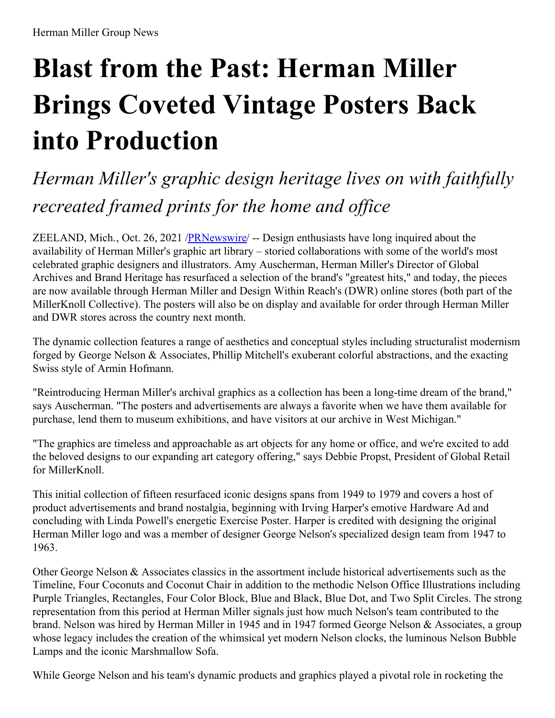# **Blast from the Past: Herman Miller Brings Coveted Vintage Posters Back into Production**

# *Herman Miller's graphic design heritage lives on with faithfully recreated framed prints for the home and of ice*

ZEELAND, Mich., Oct. 26, 2021 [/PRNewswire](http://www.prnewswire.com/)/ -- Design enthusiasts have long inquired about the availability of Herman Miller's graphic art library – storied collaborations with some of the world's most celebrated graphic designers and illustrators. Amy Auscherman, Herman Miller's Director of Global Archives and Brand Heritage has resurfaced a selection of the brand's "greatest hits," and today, the pieces are now available through Herman Miller and Design Within Reach's (DWR) online stores (both part of the MillerKnoll Collective). The posters will also be on display and available for order through Herman Miller and DWR stores across the country next month.

The dynamic collection features a range of aesthetics and conceptual styles including structuralist modernism forged by George Nelson & Associates, Phillip Mitchell's exuberant colorful abstractions, and the exacting Swiss style of Armin Hofmann.

"Reintroducing Herman Miller's archival graphics as a collection has been a long-time dream of the brand," says Auscherman. "The posters and advertisements are always a favorite when we have them available for purchase, lend them to museum exhibitions, and have visitors at our archive in West Michigan."

"The graphics are timeless and approachable as art objects for any home or office, and we're excited to add the beloved designs to our expanding art category offering," says Debbie Propst, President of Global Retail for MillerKnoll.

This initial collection of fifteen resurfaced iconic designs spans from 1949 to 1979 and covers a host of product advertisements and brand nostalgia, beginning with Irving Harper's emotive Hardware Ad and concluding with Linda Powell's energetic Exercise Poster. Harper is credited with designing the original Herman Miller logo and was a member of designer George Nelson's specialized design team from 1947 to 1963.

Other George Nelson & Associates classics in the assortment include historical advertisements such as the Timeline, Four Coconuts and Coconut Chair in addition to the methodic Nelson Office Illustrations including Purple Triangles, Rectangles, Four Color Block, Blue and Black, Blue Dot, and Two Split Circles. The strong representation from this period at Herman Miller signals just how much Nelson's team contributed to the brand. Nelson was hired by Herman Miller in 1945 and in 1947 formed George Nelson & Associates, a group whose legacy includes the creation of the whimsical yet modern Nelson clocks, the luminous Nelson Bubble Lamps and the iconic Marshmallow Sofa.

While George Nelson and his team's dynamic products and graphics played a pivotal role in rocketing the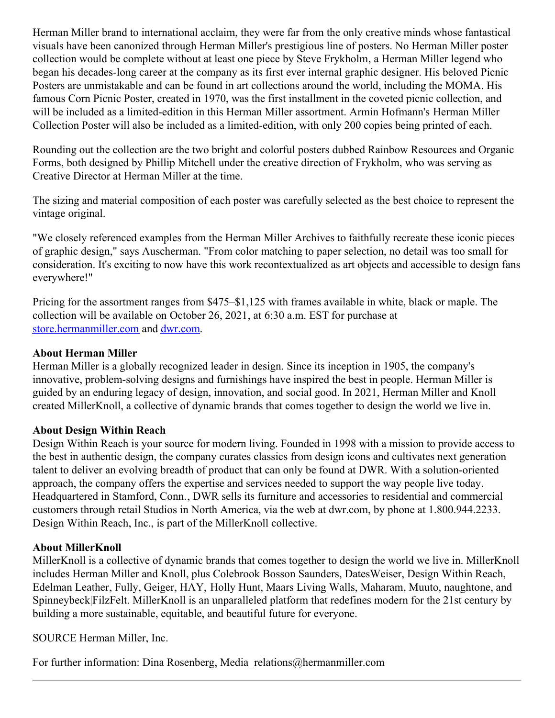Herman Miller brand to international acclaim, they were far from the only creative minds whose fantastical visuals have been canonized through Herman Miller's prestigious line of posters. No Herman Miller poster collection would be complete without at least one piece by Steve Frykholm, a Herman Miller legend who began his decades-long career at the company as its first ever internal graphic designer. His beloved Picnic Posters are unmistakable and can be found in art collections around the world, including the MOMA. His famous Corn Picnic Poster, created in 1970, was the first installment in the coveted picnic collection, and will be included as a limited-edition in this Herman Miller assortment. Armin Hofmann's Herman Miller Collection Poster will also be included as a limited-edition, with only 200 copies being printed of each.

Rounding out the collection are the two bright and colorful posters dubbed Rainbow Resources and Organic Forms, both designed by Phillip Mitchell under the creative direction of Frykholm, who was serving as Creative Director at Herman Miller at the time.

The sizing and material composition of each poster was carefully selected as the best choice to represent the vintage original.

"We closely referenced examples from the Herman Miller Archives to faithfully recreate these iconic pieces of graphic design," says Auscherman. "From color matching to paper selection, no detail was too small for consideration. It's exciting to now have this work recontextualized as art objects and accessible to design fans everywhere!"

Pricing for the assortment ranges from \$475–\$1,125 with frames available in white, black or maple. The collection will be available on October 26, 2021, at 6:30 a.m. EST for purchase at [store.hermanmiller.com](https://c212.net/c/link/?t=0&l=en&o=3335668-1&h=1808045166&u=https%3A%2F%2Fstore.hermanmiller.com%2F&a=store.hermanmiller.com) and [dwr.com](https://c212.net/c/link/?t=0&l=en&o=3335668-1&h=1860362681&u=https%3A%2F%2Fwww.dwr.com%2F&a=dwr.com).

## **About Herman Miller**

Herman Miller is a globally recognized leader in design. Since its inception in 1905, the company's innovative, problem-solving designs and furnishings have inspired the best in people. Herman Miller is guided by an enduring legacy of design, innovation, and social good. In 2021, Herman Miller and Knoll created MillerKnoll, a collective of dynamic brands that comes together to design the world we live in.

### **About Design Within Reach**

Design Within Reach is your source for modern living. Founded in 1998 with a mission to provide access to the best in authentic design, the company curates classics from design icons and cultivates next generation talent to deliver an evolving breadth of product that can only be found at DWR. With a solution-oriented approach, the company offers the expertise and services needed to support the way people live today. Headquartered in Stamford, Conn., DWR sells its furniture and accessories to residential and commercial customers through retail Studios in North America, via the web at dwr.com, by phone at 1.800.944.2233. Design Within Reach, Inc., is part of the MillerKnoll collective.

### **About MillerKnoll**

MillerKnoll is a collective of dynamic brands that comes together to design the world we live in. MillerKnoll includes Herman Miller and Knoll, plus Colebrook Bosson Saunders, DatesWeiser, Design Within Reach, Edelman Leather, Fully, Geiger, HAY, Holly Hunt, Maars Living Walls, Maharam, Muuto, naughtone, and Spinneybeck|FilzFelt. MillerKnoll is an unparalleled platform that redefines modern for the 21st century by building a more sustainable, equitable, and beautiful future for everyone.

SOURCE Herman Miller, Inc.

For further information: Dina Rosenberg, Media\_relations@hermanmiller.com